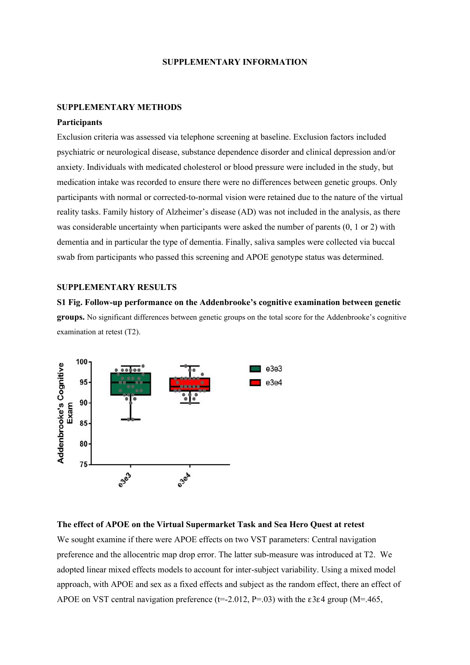### **SUPPLEMENTARY INFORMATION**

#### **SUPPLEMENTARY METHODS**

# **Participants**

Exclusion criteria was assessed via telephone screening at baseline. Exclusion factors included psychiatric or neurological disease, substance dependence disorder and clinical depression and/or anxiety. Individuals with medicated cholesterol or blood pressure were included in the study, but medication intake was recorded to ensure there were no differences between genetic groups. Only participants with normal or corrected-to-normal vision were retained due to the nature of the virtual reality tasks. Family history of Alzheimer's disease (AD) was not included in the analysis, as there was considerable uncertainty when participants were asked the number of parents (0, 1 or 2) with dementia and in particular the type of dementia. Finally, saliva samples were collected via buccal swab from participants who passed this screening and APOE genotype status was determined.

## **SUPPLEMENTARY RESULTS**

**S1 Fig. Follow-up performance on the Addenbrooke's cognitive examination between genetic groups.** No significant differences between genetic groups on the total score for the Addenbrooke's cognitive examination at retest (T2).



## **The effect of APOE on the Virtual Supermarket Task and Sea Hero Quest at retest**

We sought examine if there were APOE effects on two VST parameters: Central navigation preference and the allocentric map drop error. The latter sub-measure was introduced at T2. We adopted linear mixed effects models to account for inter-subject variability. Using a mixed model approach, with APOE and sex as a fixed effects and subject as the random effect, there an effect of APOE on VST central navigation preference ( $t=2.012$ ,  $P=.03$ ) with the  $\varepsilon$ 3 $\varepsilon$ 4 group (M=.465,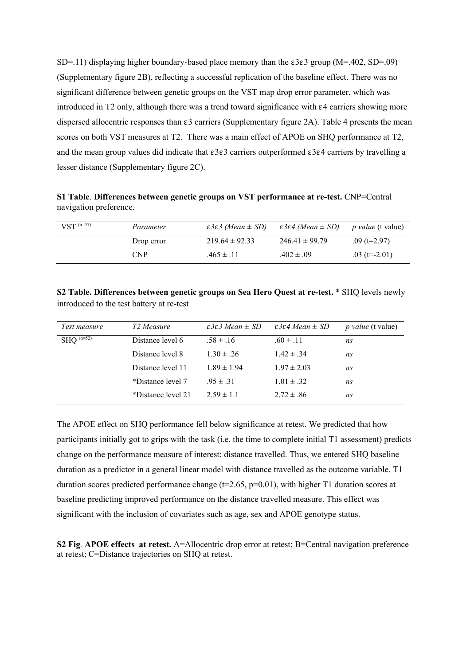SD=.11) displaying higher boundary-based place memory than the ε3ε3 group (M=.402, SD=.09) (Supplementary figure 2B), reflecting a successful replication of the baseline effect. There was no significant difference between genetic groups on the VST map drop error parameter, which was introduced in T2 only, although there was a trend toward significance with ε4 carriers showing more dispersed allocentric responses than ε3 carriers (Supplementary figure 2A). Table 4 presents the mean scores on both VST measures at T2. There was a main effect of APOE on SHQ performance at T2, and the mean group values did indicate that ε3ε3 carriers outperformed ε3ε4 carriers by travelling a lesser distance (Supplementary figure 2C).

**S1 Table**. **Differences between genetic groups on VST performance at re-test.** CNP=Central navigation preference.

| $VST^{(n=57)}$ | Parameter  | $\epsilon$ 3 $\epsilon$ 3 (Mean $\pm$ SD) | $\epsilon$ 3 $\epsilon$ 4 (Mean $\pm$ SD) | <i>p value</i> (t value) |
|----------------|------------|-------------------------------------------|-------------------------------------------|--------------------------|
|                | Drop error | $219.64 \pm 92.33$                        | $246.41 \pm 99.79$                        | $.09$ (t=2.97)           |
|                | <b>CNP</b> | $.465 \pm .11$                            | $.402 \pm .09$                            | $.03$ (t=-2.01)          |

**S2 Table. Differences between genetic groups on Sea Hero Quest at re-test.** \* SHQ levels newly introduced to the test battery at re-test

| Test measure   | T <sub>2</sub> Measure | $\epsilon$ 3 $\epsilon$ 3 Mean $\pm$ SD | $\epsilon$ 3 $\epsilon$ 4 Mean $\pm$ SD | <i>p</i> value (t value) |
|----------------|------------------------|-----------------------------------------|-----------------------------------------|--------------------------|
| $SHQ^{(n=52)}$ | Distance level 6       | $.58 \pm .16$                           | $.60 \pm .11$                           | ns                       |
|                | Distance level 8       | $1.30 \pm .26$                          | $1.42 \pm .34$                          | ns                       |
|                | Distance level 11      | $1.89 \pm 1.94$                         | $1.97 \pm 2.03$                         | ns                       |
|                | *Distance level 7      | $.95 \pm .31$                           | $1.01 \pm .32$                          | ns                       |
|                | *Distance level 21     | $2.59 \pm 1.1$                          | $2.72 \pm .86$                          | ns                       |

The APOE effect on SHQ performance fell below significance at retest. We predicted that how participants initially got to grips with the task (i.e. the time to complete initial T1 assessment) predicts change on the performance measure of interest: distance travelled. Thus, we entered SHQ baseline duration as a predictor in a general linear model with distance travelled as the outcome variable. T1 duration scores predicted performance change ( $t=2.65$ ,  $p=0.01$ ), with higher T1 duration scores at baseline predicting improved performance on the distance travelled measure. This effect was significant with the inclusion of covariates such as age, sex and APOE genotype status.

**S2 Fig***.* **APOE effects at retest.** A=Allocentric drop error at retest; B=Central navigation preference at retest; C=Distance trajectories on SHQ at retest.